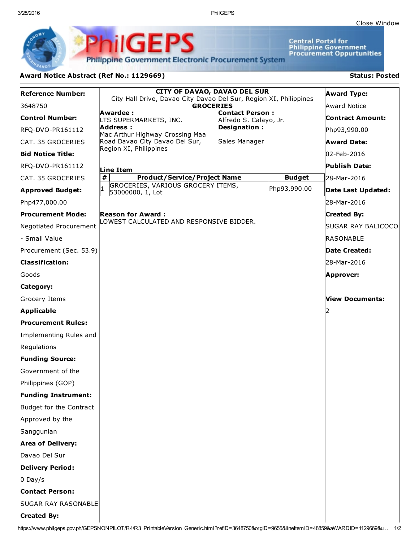3/28/2016 PhilGEPS

**Central Portal for<br>Philippine Government<br>Procurement Oppurtunities** 

**Philippine Government Electronic Procurement System** 

**PhilGEPS** 

## Award Notice Abstract (Ref No.: 1129669) Status: Posted

| <b>Reference Number:</b>   | <b>CITY OF DAVAO, DAVAO DEL SUR</b><br>City Hall Drive, Davao City Davao Del Sur, Region XI, Philippines<br><b>GROCERIES</b> |                                                  |               | <b>Award Type:</b>     |
|----------------------------|------------------------------------------------------------------------------------------------------------------------------|--------------------------------------------------|---------------|------------------------|
| 3648750                    |                                                                                                                              |                                                  |               | Award Notice           |
| <b>Control Number:</b>     | Awardee:<br>LTS SUPERMARKETS, INC.                                                                                           | <b>Contact Person:</b><br>Alfredo S. Calayo, Jr. |               | Contract Amount:       |
| RFQ-DVO-PR161112           | <b>Address:</b><br>Mac Arthur Highway Crossing Maa                                                                           | Designation:                                     |               | Php93,990.00           |
| CAT. 35 GROCERIES          | Road Davao City Davao Del Sur,                                                                                               | Sales Manager                                    |               | <b>Award Date:</b>     |
| <b>Bid Notice Title:</b>   | Region XI, Philippines                                                                                                       |                                                  |               | 02-Feb-2016            |
| RFQ-DVO-PR161112           | Line Item                                                                                                                    |                                                  |               | Publish Date:          |
| CAT. 35 GROCERIES          | $\pmb{\#}$<br><b>Product/Service/Project Name</b>                                                                            |                                                  | <b>Budget</b> | 28-Mar-2016            |
| <b>Approved Budget:</b>    | GROCERIES, VARIOUS GROCERY ITEMS,<br>53000000, 1, Lot                                                                        |                                                  | Php93,990.00  | Date Last Updated:     |
| Php477,000.00              |                                                                                                                              |                                                  |               | 28-Mar-2016            |
| <b>Procurement Mode:</b>   | <b>Reason for Award:</b>                                                                                                     |                                                  |               | <b>Created By:</b>     |
| Negotiated Procurement     | LOWEST CALCULATED AND RESPONSIVE BIDDER.                                                                                     |                                                  |               | SUGAR RAY BALICOCO     |
| - Small Value              |                                                                                                                              |                                                  |               | <b>RASONABLE</b>       |
| Procurement (Sec. 53.9)    |                                                                                                                              |                                                  |               | Date Created:          |
| <b>Classification:</b>     |                                                                                                                              |                                                  |               | 28-Mar-2016            |
| Goods                      |                                                                                                                              |                                                  |               | Approver:              |
| Category:                  |                                                                                                                              |                                                  |               |                        |
| Grocery Items              |                                                                                                                              |                                                  |               | <b>View Documents:</b> |
| <b>Applicable</b>          |                                                                                                                              |                                                  |               |                        |
| <b>Procurement Rules:</b>  |                                                                                                                              |                                                  |               |                        |
| Implementing Rules and     |                                                                                                                              |                                                  |               |                        |
| Regulations                |                                                                                                                              |                                                  |               |                        |
| <b>Funding Source:</b>     |                                                                                                                              |                                                  |               |                        |
| Government of the          |                                                                                                                              |                                                  |               |                        |
| Philippines (GOP)          |                                                                                                                              |                                                  |               |                        |
| <b>Funding Instrument:</b> |                                                                                                                              |                                                  |               |                        |
| Budget for the Contract    |                                                                                                                              |                                                  |               |                        |
| Approved by the            |                                                                                                                              |                                                  |               |                        |
| Sanggunian                 |                                                                                                                              |                                                  |               |                        |
| <b>Area of Delivery:</b>   |                                                                                                                              |                                                  |               |                        |
| Davao Del Sur              |                                                                                                                              |                                                  |               |                        |
| Delivery Period:           |                                                                                                                              |                                                  |               |                        |
| $0$ Day/s                  |                                                                                                                              |                                                  |               |                        |
| <b>Contact Person:</b>     |                                                                                                                              |                                                  |               |                        |
| <b>SUGAR RAY RASONABLE</b> |                                                                                                                              |                                                  |               |                        |
| <b>Created By:</b>         |                                                                                                                              |                                                  |               |                        |